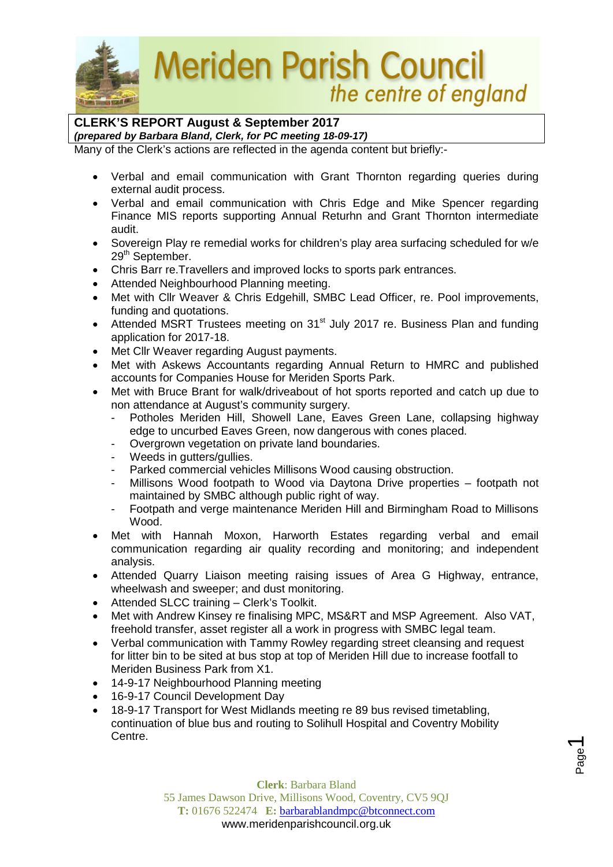

## **Meriden Parish Council** the centre of england

## **CLERK'S REPORT August & September 2017**

*(prepared by Barbara Bland, Clerk, for PC meeting 18-09-17)*

Many of the Clerk's actions are reflected in the agenda content but briefly:-

- Verbal and email communication with Grant Thornton regarding queries during external audit process.
- Verbal and email communication with Chris Edge and Mike Spencer regarding Finance MIS reports supporting Annual Returhn and Grant Thornton intermediate audit.
- Sovereign Play re remedial works for children's play area surfacing scheduled for w/e 29<sup>th</sup> September.
- Chris Barr re.Travellers and improved locks to sports park entrances.
- Attended Neighbourhood Planning meeting.
- Met with Cllr Weaver & Chris Edgehill, SMBC Lead Officer, re. Pool improvements, funding and quotations.
- Attended MSRT Trustees meeting on 31<sup>st</sup> July 2017 re. Business Plan and funding application for 2017-18.
- Met Cllr Weaver regarding August payments.
- Met with Askews Accountants regarding Annual Return to HMRC and published accounts for Companies House for Meriden Sports Park.
- Met with Bruce Brant for walk/driveabout of hot sports reported and catch up due to non attendance at August's community surgery.
	- Potholes Meriden Hill, Showell Lane, Eaves Green Lane, collapsing highway edge to uncurbed Eaves Green, now dangerous with cones placed.
	- Overgrown vegetation on private land boundaries.
	- Weeds in gutters/gullies.
	- Parked commercial vehicles Millisons Wood causing obstruction.
	- Millisons Wood footpath to Wood via Daytona Drive properties footpath not maintained by SMBC although public right of way.
	- Footpath and verge maintenance Meriden Hill and Birmingham Road to Millisons Wood.
- Met with Hannah Moxon, Harworth Estates regarding verbal and email communication regarding air quality recording and monitoring; and independent analysis.
- Attended Quarry Liaison meeting raising issues of Area G Highway, entrance, wheelwash and sweeper; and dust monitoring.
- Attended SLCC training Clerk's Toolkit.
- Met with Andrew Kinsey re finalising MPC, MS&RT and MSP Agreement. Also VAT, freehold transfer, asset register all a work in progress with SMBC legal team.
- Verbal communication with Tammy Rowley regarding street cleansing and request for litter bin to be sited at bus stop at top of Meriden Hill due to increase footfall to Meriden Business Park from X1.
- 14-9-17 Neighbourhood Planning meeting
- 16-9-17 Council Development Day
- 18-9-17 Transport for West Midlands meeting re 89 bus revised timetabling, continuation of blue bus and routing to Solihull Hospital and Coventry Mobility Centre.